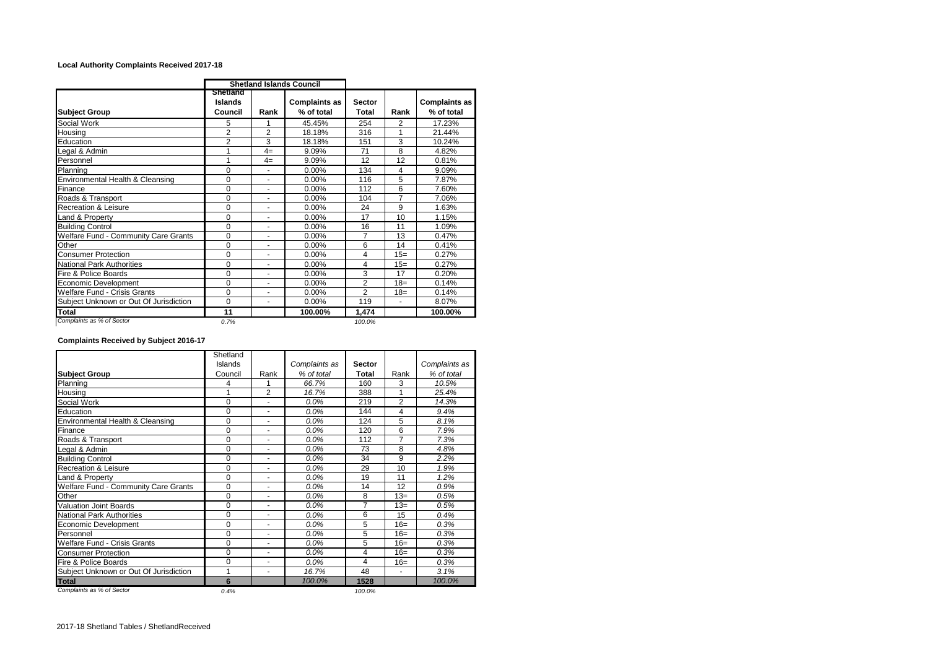## **Local Authority Complaints Received 2017-18**

|                                        |                                |                | <b>Shetland Islands Council</b>    |                               |                |                                    |
|----------------------------------------|--------------------------------|----------------|------------------------------------|-------------------------------|----------------|------------------------------------|
| <b>Subject Group</b>                   | Shetland<br>Islands<br>Council | Rank           | <b>Complaints as</b><br>% of total | <b>Sector</b><br><b>Total</b> | Rank           | <b>Complaints as</b><br>% of total |
| Social Work                            | 5                              | 1              | 45.45%                             | 254                           | 2              | 17.23%                             |
| Housing                                | $\overline{2}$                 | $\overline{2}$ | 18.18%                             | 316                           | 1              | 21.44%                             |
| Education                              | 2                              | 3              | 18.18%                             | 151                           | 3              | 10.24%                             |
| Legal & Admin                          | 1                              | $4=$           | 9.09%                              | 71                            | 8              | 4.82%                              |
| Personnel                              | 1                              | $4=$           | 9.09%                              | 12                            | 12             | 0.81%                              |
| Planning                               | 0                              |                | 0.00%                              | 134                           | 4              | 9.09%                              |
| Environmental Health & Cleansing       | $\Omega$                       | $\blacksquare$ | 0.00%                              | 116                           | 5              | 7.87%                              |
| Finance                                | $\Omega$                       | ٠              | 0.00%                              | 112                           | 6              | 7.60%                              |
| Roads & Transport                      | 0                              | ٠              | 0.00%                              | 104                           | 7              | 7.06%                              |
| <b>Recreation &amp; Leisure</b>        | 0                              | $\blacksquare$ | 0.00%                              | 24                            | 9              | 1.63%                              |
| Land & Property                        | 0                              | $\blacksquare$ | 0.00%                              | 17                            | 10             | 1.15%                              |
| <b>Building Control</b>                | $\Omega$                       |                | 0.00%                              | 16                            | 11             | 1.09%                              |
| Welfare Fund - Community Care Grants   | $\mathbf 0$                    | ۰              | 0.00%                              | 7                             | 13             | 0.47%                              |
| Other                                  | $\Omega$                       | ٠              | 0.00%                              | 6                             | 14             | 0.41%                              |
| <b>Consumer Protection</b>             | 0                              |                | 0.00%                              | 4                             | $15=$          | 0.27%                              |
| National Park Authorities              | $\mathbf 0$                    | ۰              | 0.00%                              | 4                             | $15=$          | 0.27%                              |
| Fire & Police Boards                   | 0                              |                | 0.00%                              | 3                             | 17             | 0.20%                              |
| Economic Development                   | 0                              |                | 0.00%                              | 2                             | $18=$          | 0.14%                              |
| <b>Welfare Fund - Crisis Grants</b>    | 0                              | $\blacksquare$ | 0.00%                              | $\overline{2}$                | $18=$          | 0.14%                              |
| Subject Unknown or Out Of Jurisdiction | $\Omega$                       | ٠              | 0.00%                              | 119                           | $\blacksquare$ | 8.07%                              |
| Total                                  | 11                             |                | 100.00%                            | 1,474                         |                | 100.00%                            |
| Complaints as % of Sector              | 0.7%                           |                |                                    | 100.0%                        |                |                                    |

## **Complaints Received by Subject 2016-17**

|                                        | Shetland |                          |               |               |                |               |
|----------------------------------------|----------|--------------------------|---------------|---------------|----------------|---------------|
|                                        | Islands  |                          | Complaints as | <b>Sector</b> |                | Complaints as |
| <b>Subject Group</b>                   | Council  | Rank                     | % of total    | <b>Total</b>  | Rank           | % of total    |
| Planning                               | 4        | 1                        | 66.7%         | 160           | 3              | 10.5%         |
| Housing                                | 1        | 2                        | 16.7%         | 388           | 1              | 25.4%         |
| Social Work                            | $\Omega$ | ٠                        | 0.0%          | 219           | $\overline{2}$ | 14.3%         |
| Education                              | $\Omega$ | ۰                        | $0.0\%$       | 144           | 4              | 9.4%          |
| Environmental Health & Cleansing       | $\Omega$ | ۰                        | $0.0\%$       | 124           | 5              | 8.1%          |
| Finance                                | $\Omega$ | ٠                        | $0.0\%$       | 120           | 6              | 7.9%          |
| Roads & Transport                      | $\Omega$ | ٠                        | 0.0%          | 112           | $\overline{7}$ | 7.3%          |
| Legal & Admin                          | 0        | ٠                        | $0.0\%$       | 73            | 8              | 4.8%          |
| <b>Building Control</b>                | $\Omega$ | ٠                        | 0.0%          | 34            | 9              | 2.2%          |
| <b>Recreation &amp; Leisure</b>        | $\Omega$ | ٠                        | 0.0%          | 29            | 10             | 1.9%          |
| Land & Property                        | $\Omega$ | ٠                        | $0.0\%$       | 19            | 11             | 1.2%          |
| Welfare Fund - Community Care Grants   | 0        | ۰                        | $0.0\%$       | 14            | 12             | 0.9%          |
| Other                                  | $\Omega$ | ۰                        | $0.0\%$       | 8             | $13=$          | 0.5%          |
| <b>Valuation Joint Boards</b>          | $\Omega$ | ٠                        | 0.0%          | 7             | $13=$          | 0.5%          |
| <b>National Park Authorities</b>       | $\Omega$ | ۰                        | $0.0\%$       | 6             | 15             | 0.4%          |
| Economic Development                   | $\Omega$ | ٠                        | 0.0%          | 5             | $16=$          | 0.3%          |
| Personnel                              | $\Omega$ | ٠                        | $0.0\%$       | 5             | $16=$          | 0.3%          |
| <b>Welfare Fund - Crisis Grants</b>    | $\Omega$ | $\blacksquare$           | $0.0\%$       | 5             | $16=$          | 0.3%          |
| <b>Consumer Protection</b>             | $\Omega$ | ٠                        | $0.0\%$       | 4             | $16=$          | 0.3%          |
| Fire & Police Boards                   | $\Omega$ | ۰                        | $0.0\%$       | 4             | $16=$          | 0.3%          |
| Subject Unknown or Out Of Jurisdiction | 1        | $\overline{\phantom{a}}$ | 16.7%         | 48            | ٠              | 3.1%          |
| Total                                  | 6        |                          | 100.0%        | 1528          |                | 100.0%        |
| Complaints as % of Sector              | 0.4%     |                          |               | 100.0%        |                |               |